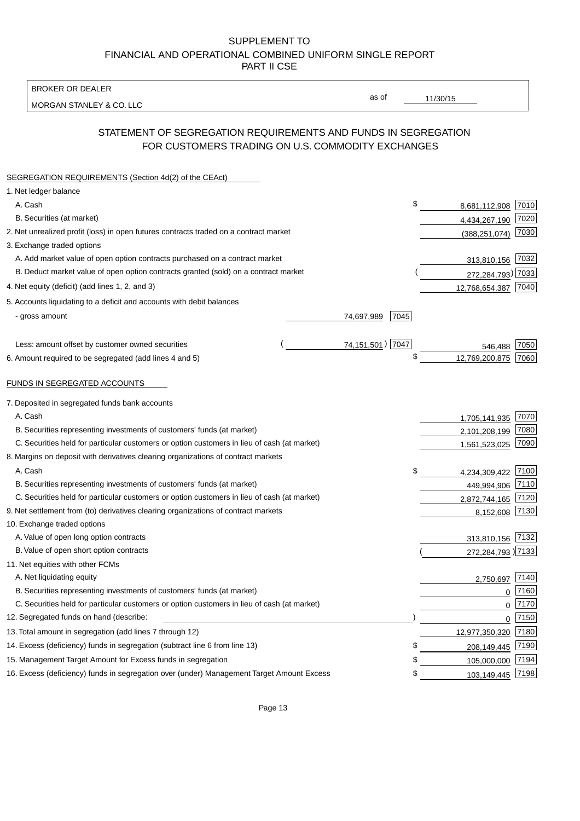BROKER OR DEALER

MORGAN STANLEY & CO. LLC

11/30/15

as of

# STATEMENT OF SEGREGATION REQUIREMENTS AND FUNDS IN SEGREGATION FOR CUSTOMERS TRADING ON U.S. COMMODITY EXCHANGES

| SEGREGATION REQUIREMENTS (Section 4d(2) of the CEAct)                                       |                  |      |                     |          |
|---------------------------------------------------------------------------------------------|------------------|------|---------------------|----------|
| 1. Net ledger balance                                                                       |                  |      |                     |          |
| A. Cash                                                                                     |                  | \$   | 8,681,112,908 7010  |          |
| B. Securities (at market)                                                                   |                  |      | 4,434,267,190 7020  |          |
| 2. Net unrealized profit (loss) in open futures contracts traded on a contract market       |                  |      | (388, 251, 074)     | 7030     |
| 3. Exchange traded options                                                                  |                  |      |                     |          |
| A. Add market value of open option contracts purchased on a contract market                 |                  |      | 313,810,156 7032    |          |
| B. Deduct market value of open option contracts granted (sold) on a contract market         |                  |      | 272,284,793) 7033   |          |
| 4. Net equity (deficit) (add lines 1, 2, and 3)                                             |                  |      | 12,768,654,387 7040 |          |
| 5. Accounts liquidating to a deficit and accounts with debit balances                       |                  |      |                     |          |
| - gross amount                                                                              | 74,697,989       | 7045 |                     |          |
|                                                                                             |                  |      |                     |          |
| Less: amount offset by customer owned securities                                            | 74,151,501) 7047 |      | 546.488             | 7050     |
| 6. Amount required to be segregated (add lines 4 and 5)                                     |                  | \$   | 12,769,200,875      | 7060     |
|                                                                                             |                  |      |                     |          |
| FUNDS IN SEGREGATED ACCOUNTS                                                                |                  |      |                     |          |
| 7. Deposited in segregated funds bank accounts                                              |                  |      |                     |          |
| A. Cash                                                                                     |                  |      | 1,705,141,935       | 7070     |
| B. Securities representing investments of customers' funds (at market)                      |                  |      | 2,101,208,199       | 7080     |
| C. Securities held for particular customers or option customers in lieu of cash (at market) |                  |      | 1,561,523,025       | 7090     |
| 8. Margins on deposit with derivatives clearing organizations of contract markets           |                  |      |                     |          |
| A. Cash                                                                                     |                  | \$   | 4,234,309,422       | 7100     |
| B. Securities representing investments of customers' funds (at market)                      |                  |      | 449,994,906         | 7110     |
| C. Securities held for particular customers or option customers in lieu of cash (at market) |                  |      | 2,872,744,165       | 7120     |
| 9. Net settlement from (to) derivatives clearing organizations of contract markets          |                  |      | 8,152,608           | 7130     |
| 10. Exchange traded options                                                                 |                  |      |                     |          |
| A. Value of open long option contracts                                                      |                  |      | 313,810,156 7132    |          |
| B. Value of open short option contracts                                                     |                  |      | 272,284,793 )7133   |          |
| 11. Net equities with other FCMs                                                            |                  |      |                     |          |
| A. Net liquidating equity                                                                   |                  |      | 2,750,697           | 7140     |
| B. Securities representing investments of customers' funds (at market)                      |                  |      | $\mathbf 0$         | 7160     |
| C. Securities held for particular customers or option customers in lieu of cash (at market) |                  |      | $\mathbf 0$         | 7170     |
| 12. Segregated funds on hand (describe:                                                     |                  |      |                     | $0$ 7150 |
| 13. Total amount in segregation (add lines 7 through 12)                                    |                  |      | 12,977,350,320 7180 |          |
| 14. Excess (deficiency) funds in segregation (subtract line 6 from line 13)                 |                  | \$   | 208,149,445         | 7190     |
| 15. Management Target Amount for Excess funds in segregation                                |                  | \$   | 105,000,000         | 7194     |
| 16. Excess (deficiency) funds in segregation over (under) Management Target Amount Excess   |                  | \$   | 103,149,445 7198    |          |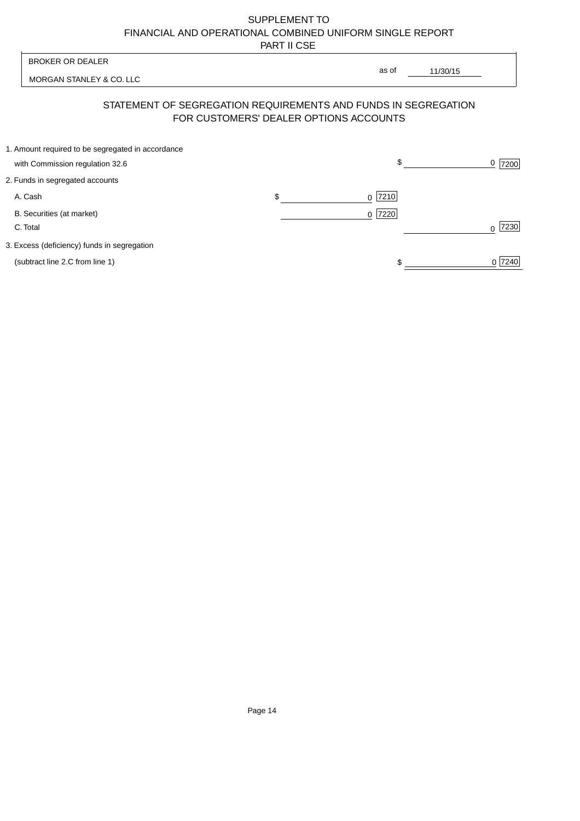| <b>BROKER OR DEALER</b>                                                                                  | as of           |           |
|----------------------------------------------------------------------------------------------------------|-----------------|-----------|
| MORGAN STANLEY & CO. LLC                                                                                 | 11/30/15        |           |
| STATEMENT OF SEGREGATION REQUIREMENTS AND FUNDS IN SEGREGATION<br>FOR CUSTOMERS' DEALER OPTIONS ACCOUNTS |                 |           |
| 1. Amount required to be segregated in accordance<br>with Commission regulation 32.6                     | \$              | 0<br>7200 |
| 2. Funds in segregated accounts                                                                          |                 |           |
| A. Cash                                                                                                  | \$<br>$0$  7210 |           |
| B. Securities (at market)<br>C. Total                                                                    | $0$  7220       | 7230      |
| 3. Excess (deficiency) funds in segregation                                                              |                 |           |
| (subtract line 2.C from line 1)                                                                          |                 | 0 7240    |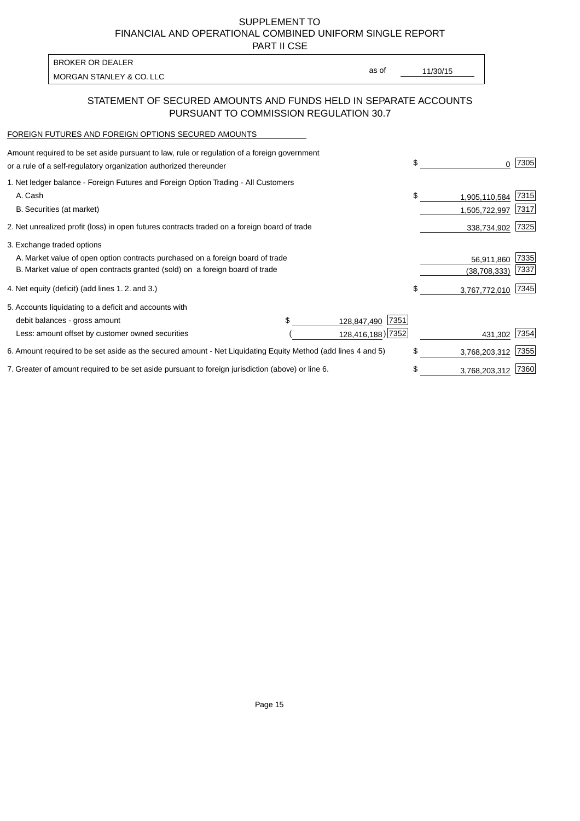PART II CSE

| as of<br>11/30/15 |
|-------------------|
|                   |

# STATEMENT OF SECURED AMOUNTS AND FUNDS HELD IN SEPARATE ACCOUNTS PURSUANT TO COMMISSION REGULATION 30.7

#### FOREIGN FUTURES AND FOREIGN OPTIONS SECURED AMOUNTS

| Amount required to be set aside pursuant to law, rule or regulation of a foreign government<br>or a rule of a self-regulatory organization authorized thereunder | \$                  | 0              | 7305 |
|------------------------------------------------------------------------------------------------------------------------------------------------------------------|---------------------|----------------|------|
| 1. Net ledger balance - Foreign Futures and Foreign Option Trading - All Customers                                                                               |                     |                |      |
| A. Cash                                                                                                                                                          | \$                  | 1,905,110,584  | 7315 |
| B. Securities (at market)                                                                                                                                        |                     | 1,505,722,997  | 7317 |
| 2. Net unrealized profit (loss) in open futures contracts traded on a foreign board of trade                                                                     |                     | 338,734,902    | 7325 |
| 3. Exchange traded options                                                                                                                                       |                     |                |      |
| A. Market value of open option contracts purchased on a foreign board of trade                                                                                   |                     | 56,911,860     | 7335 |
| B. Market value of open contracts granted (sold) on a foreign board of trade                                                                                     |                     | (38, 708, 333) | 7337 |
| 4. Net equity (deficit) (add lines 1.2. and 3.)                                                                                                                  | \$                  | 3,767,772,010  | 7345 |
| 5. Accounts liquidating to a deficit and accounts with                                                                                                           |                     |                |      |
| debit balances - gross amount                                                                                                                                    | 7351<br>128,847,490 |                |      |
| Less: amount offset by customer owned securities                                                                                                                 | 128,416,188) 7352   | 431,302        | 7354 |
| 6. Amount required to be set aside as the secured amount - Net Liquidating Equity Method (add lines 4 and 5)                                                     | \$                  | 3,768,203,312  | 7355 |
| 7. Greater of amount required to be set aside pursuant to foreign jurisdiction (above) or line 6.                                                                | \$                  | 3,768,203,312  | 7360 |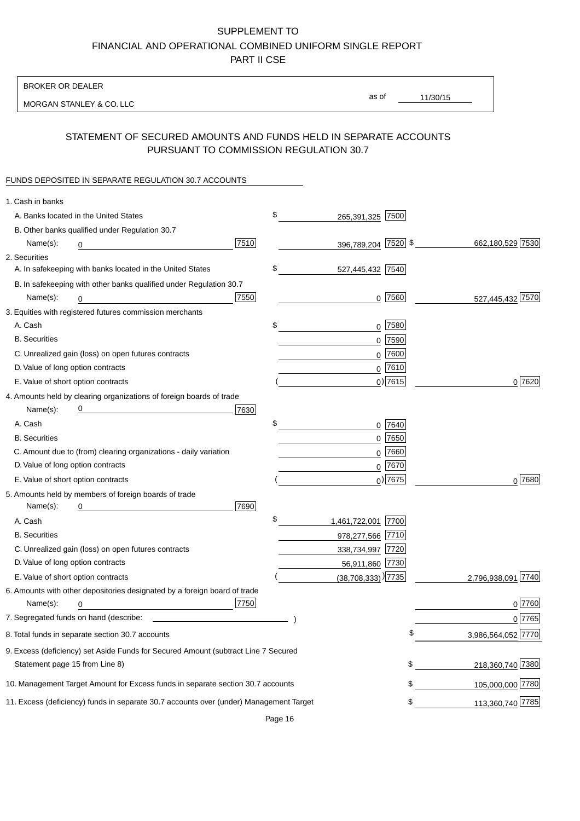BROKER OR DEALER

MORGAN STANLEY & CO. LLC

11/30/15 as of

# STATEMENT OF SECURED AMOUNTS AND FUNDS HELD IN SEPARATE ACCOUNTS PURSUANT TO COMMISSION REGULATION 30.7

### FUNDS DEPOSITED IN SEPARATE REGULATION 30.7 ACCOUNTS

| 1. Cash in banks                   |                                                                                        |      |                                   |             |                    |
|------------------------------------|----------------------------------------------------------------------------------------|------|-----------------------------------|-------------|--------------------|
|                                    | A. Banks located in the United States                                                  |      | \$<br>265,391,325 7500            |             |                    |
|                                    | B. Other banks qualified under Regulation 30.7                                         |      |                                   |             |                    |
| Name(s):                           | 0                                                                                      | 7510 | 396,789,204 7520 \$               |             | 662,180,529 7530   |
| 2. Securities                      |                                                                                        |      |                                   |             |                    |
|                                    | A. In safekeeping with banks located in the United States                              |      | \$<br>527,445,432 7540            |             |                    |
|                                    | B. In safekeeping with other banks qualified under Regulation 30.7                     |      |                                   |             |                    |
| Name(s):                           | 0                                                                                      | 7550 |                                   | $0$ 7560    | 527,445,432 7570   |
|                                    | 3. Equities with registered futures commission merchants                               |      |                                   |             |                    |
| A. Cash                            |                                                                                        |      | \$                                | $0$ 7580    |                    |
| <b>B.</b> Securities               |                                                                                        |      |                                   | $0$ 7590    |                    |
|                                    | C. Unrealized gain (loss) on open futures contracts                                    |      |                                   | $0$ 7600    |                    |
| D. Value of long option contracts  |                                                                                        |      |                                   | $0$ 7610    |                    |
| E. Value of short option contracts |                                                                                        |      |                                   | $0$ ) 7615  | 0 7620             |
|                                    | 4. Amounts held by clearing organizations of foreign boards of trade                   |      |                                   |             |                    |
| Name(s):                           |                                                                                        | 7630 |                                   |             |                    |
| A. Cash                            |                                                                                        |      | \$                                | 0 7640      |                    |
| <b>B.</b> Securities               |                                                                                        |      |                                   | $0$ 7650    |                    |
|                                    | C. Amount due to (from) clearing organizations - daily variation                       |      |                                   | $0$ 7660    |                    |
| D. Value of long option contracts  |                                                                                        |      |                                   | $0^{7670}$  |                    |
| E. Value of short option contracts |                                                                                        |      |                                   | $_0$ ) 7675 | $0^{7680}$         |
|                                    | 5. Amounts held by members of foreign boards of trade                                  |      |                                   |             |                    |
| Name(s):                           | 0                                                                                      | 7690 |                                   |             |                    |
| A. Cash                            |                                                                                        |      | \$<br>1,461,722,001 7700          |             |                    |
| <b>B.</b> Securities               |                                                                                        |      | 978,277,566 7710                  |             |                    |
|                                    | C. Unrealized gain (loss) on open futures contracts                                    |      | 338,734,997 7720                  |             |                    |
| D. Value of long option contracts  |                                                                                        |      | 56,911,860 7730                   |             |                    |
|                                    | E. Value of short option contracts                                                     |      | $(38,708,333)$ <sup>)</sup>  7735 |             | 2,796,938,091 7740 |
|                                    | 6. Amounts with other depositories designated by a foreign board of trade              |      |                                   |             |                    |
| Name(s):                           | 0                                                                                      | 7750 |                                   |             | 0 7760             |
|                                    |                                                                                        |      |                                   |             | 0 7765             |
|                                    | 8. Total funds in separate section 30.7 accounts                                       |      |                                   | \$          | 3,986,564,052 7770 |
|                                    | 9. Excess (deficiency) set Aside Funds for Secured Amount (subtract Line 7 Secured     |      |                                   |             |                    |
| Statement page 15 from Line 8)     |                                                                                        |      |                                   | \$          | 218,360,740 7380   |
|                                    | 10. Management Target Amount for Excess funds in separate section 30.7 accounts        |      |                                   | \$          | 105,000,000 7780   |
|                                    | 11. Excess (deficiency) funds in separate 30.7 accounts over (under) Management Target |      |                                   | \$          | 113,360,740 7785   |
|                                    |                                                                                        |      |                                   |             |                    |